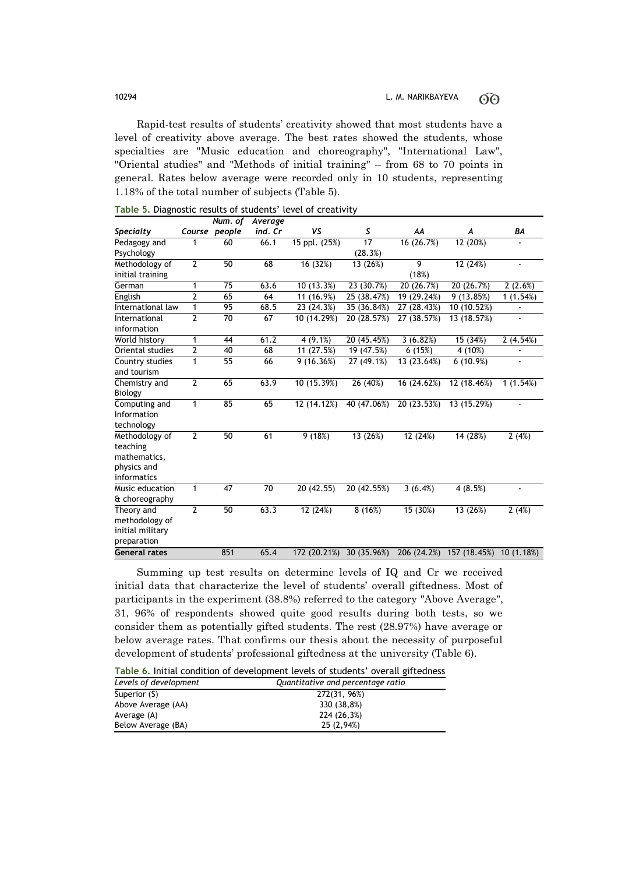Rapid-test results of students' creativity showed that most students have a level of creativity above average. The best rates showed the students, whose specialties are "Music education and choreography", "International Law", "Oriental studies" and "Methods of initial training" – from 68 to 70 points in general. Rates below average were recorded only in 10 students, representing 1.18% of the total number of subjects (Table 5).

|                      |                | Num. of         | Average |               |             |             |              |                |
|----------------------|----------------|-----------------|---------|---------------|-------------|-------------|--------------|----------------|
| <b>Specialty</b>     |                | Course people   | ind. Cr | VS            | S           | AA          | A            | BA             |
| Pedagogy and         | 1              | 60              | 66.1    | 15 ppl. (25%) | 17          | 16 (26.7%)  | 12 (20%)     |                |
| Psychology           |                |                 |         |               | (28.3%)     |             |              |                |
| Methodology of       | $\overline{2}$ | 50              | 68      | 16 (32%)      | 13 (26%)    | 9           | 12 (24%)     | $\frac{1}{2}$  |
| initial training     |                |                 |         |               |             | (18%)       |              |                |
| German               | $\mathbf{1}$   | 75              | 63.6    | 10 (13.3%)    | 23 (30.7%)  | 20 (26.7%)  | 20 (26.7%)   | 2(2.6%)        |
| English              | $\overline{2}$ | 65              | 64      | 11 (16.9%)    | 25 (38.47%) | 19 (29.24%) | 9(13.85%)    | 1(1.54%)       |
| International law    | 1              | 95              | 68.5    | 23 (24.3%)    | 35 (36.84%) | 27 (28.43%) | 10 (10.52%)  |                |
| International        | $\overline{2}$ | 70              | 67      | 10 (14.29%)   | 20 (28.57%) | 27 (38.57%) | 13 (18.57%)  | $\frac{1}{2}$  |
| information          |                |                 |         |               |             |             |              |                |
| World history        | 1              | 44              | 61.2    | 4(9.1%)       | 20 (45.45%) | 3(6.82%)    | 15 (34%)     | 2(4.54%)       |
| Oriental studies     | $\overline{2}$ | 40              | 68      | 11 $(27.5%)$  | 19 (47.5%)  | 6(15%)      | 4 (10%)      |                |
| Country studies      | $\mathbf{1}$   | $\overline{55}$ | 66      | 9(16.36%)     | 27 (49.1%)  | 13 (23.64%) | 6(10.9%)     | $\overline{a}$ |
| and tourism          |                |                 |         |               |             |             |              |                |
| Chemistry and        | $\overline{2}$ | 65              | 63.9    | 10 (15.39%)   | 26 (40%)    | 16 (24.62%) | 12 (18.46%)  | 1(1.54%)       |
| Biology              |                |                 |         |               |             |             |              |                |
| Computing and        | 1              | 85              | 65      | 12 (14.12%)   | 40 (47.06%) | 20 (23.53%) | 13 (15.29%)  |                |
| Information          |                |                 |         |               |             |             |              |                |
| technology           |                |                 |         |               |             |             |              |                |
| Methodology of       | $\overline{2}$ | 50              | 61      | 9(18%)        | 13 (26%)    | 12 (24%)    | 14 (28%)     | 2(4%)          |
| teaching             |                |                 |         |               |             |             |              |                |
| mathematics,         |                |                 |         |               |             |             |              |                |
| physics and          |                |                 |         |               |             |             |              |                |
| informatics          |                |                 |         |               |             |             |              |                |
| Music education      | 1              | 47              | 70      | 20(42.55)     | 20 (42.55%) | 3 $(6.4%)$  | 4(8.5%)      | ä,             |
| & choreography       |                |                 |         |               |             |             |              |                |
| Theory and           | $\overline{2}$ | 50              | 63.3    | 12 (24%)      | 8(16%)      | 15 (30%)    | 13 (26%)     | 2(4%)          |
| methodology of       |                |                 |         |               |             |             |              |                |
| initial military     |                |                 |         |               |             |             |              |                |
| preparation          |                |                 |         |               |             |             |              |                |
| <b>General rates</b> |                | 851             | 65.4    | 172 (20.21%)  | 30 (35.96%) | 206 (24.2%) | 157 (18.45%) | 10(1.18%)      |

|  | Table 5. Diagnostic results of students' level of creativity |  |  |  |  |
|--|--------------------------------------------------------------|--|--|--|--|
|--|--------------------------------------------------------------|--|--|--|--|

Summing up test results on determine levels of IQ and Cr we received initial data that characterize the level of students' overall giftedness. Most of participants in the experiment (38.8%) referred to the category "Above Average", 31, 96% of respondents showed quite good results during both tests, so we consider them as potentially gifted students. The rest (28.97%) have average or below average rates. That confirms our thesis about the necessity of purposeful development of students' professional giftedness at the university (Table 6).

**Table 6.** Initial condition of development levels of students' overall giftedness

| Levels of development | Quantitative and percentage ratio |
|-----------------------|-----------------------------------|
| Superior (S)          | 272(31, 96%)                      |
| Above Average (AA)    | 330 (38,8%)                       |
| Average (A)           | 224 (26,3%)                       |
| Below Average (BA)    | 25 (2.94%)                        |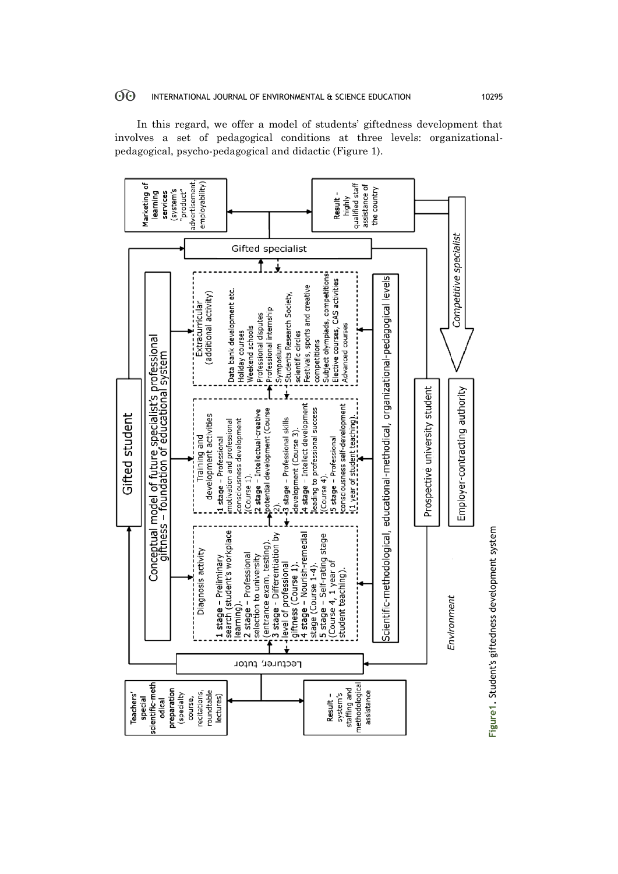In this regard, we offer a model of students' giftedness development that involves a set of pedagogical conditions at three levels: organizationalpedagogical, psycho-pedagogical and didactic (Figure 1).



Figure1. Student's giftedness development system **Figure1.** Student's giftedness development system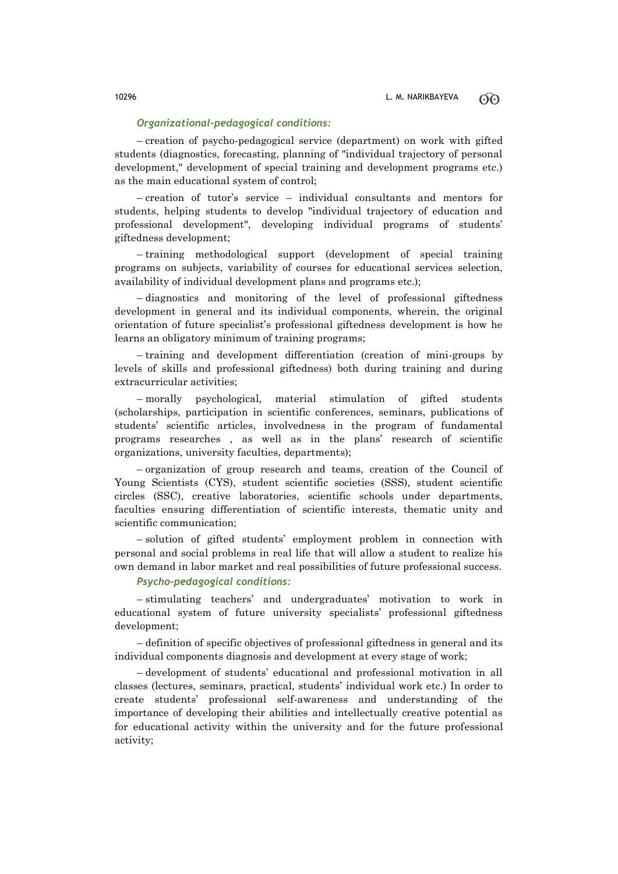## *Organizational-pedagogical conditions:*

– creation of psycho-pedagogical service (department) on work with gifted students (diagnostics, forecasting, planning of "individual trajectory of personal development," development of special training and development programs etc.) as the main educational system of control;

– creation of tutor's service – individual consultants and mentors for students, helping students to develop "individual trajectory of education and professional development", developing individual programs of students' giftedness development;

– training methodological support (development of special training programs on subjects, variability of courses for educational services selection, availability of individual development plans and programs etc.);

– diagnostics and monitoring of the level of professional giftedness development in general and its individual components, wherein, the original orientation of future specialist's professional giftedness development is how he learns an obligatory minimum of training programs;

– training and development differentiation (creation of mini-groups by levels of skills and professional giftedness) both during training and during extracurricular activities;

– morally psychological, material stimulation of gifted students (scholarships, participation in scientific conferences, seminars, publications of students' scientific articles, involvedness in the program of fundamental programs researches , as well as in the plans' research of scientific organizations, university faculties, departments);

– organization of group research and teams, creation of the Council of Young Scientists (CYS), student scientific societies (SSS), student scientific circles (SSC), creative laboratories, scientific schools under departments, faculties ensuring differentiation of scientific interests, thematic unity and scientific communication;

– solution of gifted students' employment problem in connection with personal and social problems in real life that will allow a student to realize his own demand in labor market and real possibilities of future professional success.

*Psycho-pedagogical conditions:*

– stimulating teachers' and undergraduates' motivation to work in educational system of future university specialists' professional giftedness development;

– definition of specific objectives of professional giftedness in general and its individual components diagnosis and development at every stage of work;

– development of students' educational and professional motivation in all classes (lectures, seminars, practical, students' individual work etc.) In order to create students' professional self-awareness and understanding of the importance of developing their abilities and intellectually creative potential as for educational activity within the university and for the future professional activity;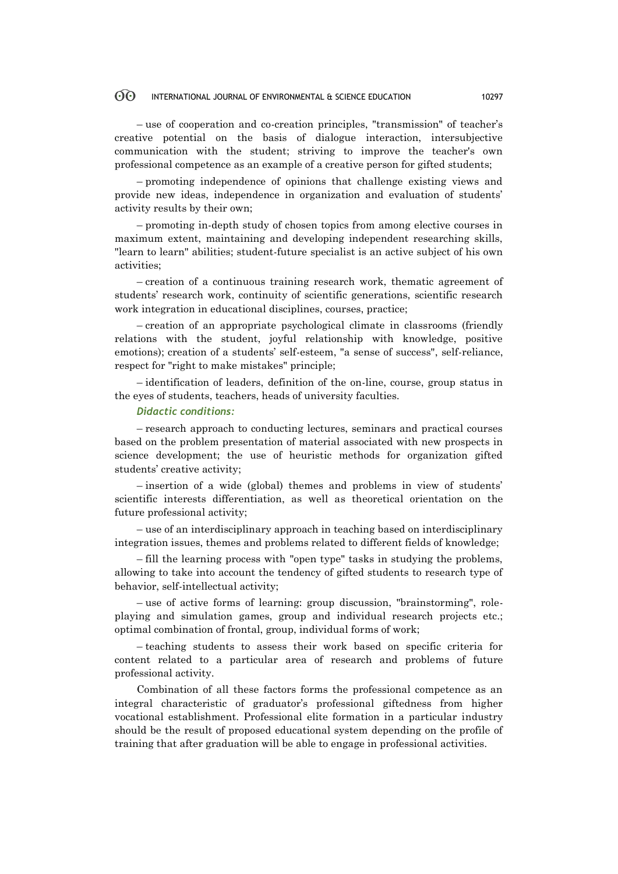### 60 INTERNATIONAL JOURNAL OF ENVIRONMENTAL & SCIENCE EDUCATION 10297

– use of cooperation and co-creation principles, "transmission" of teacher's creative potential on the basis of dialogue interaction, intersubjective communication with the student; striving to improve the teacher's own professional competence as an example of a creative person for gifted students;

– promoting independence of opinions that challenge existing views and provide new ideas, independence in organization and evaluation of students' activity results by their own;

– promoting in-depth study of chosen topics from among elective courses in maximum extent, maintaining and developing independent researching skills, "learn to learn" abilities; student-future specialist is an active subject of his own activities;

– creation of a continuous training research work, thematic agreement of students' research work, continuity of scientific generations, scientific research work integration in educational disciplines, courses, practice;

– creation of an appropriate psychological climate in classrooms (friendly relations with the student, joyful relationship with knowledge, positive emotions); creation of a students' self-esteem, "a sense of success", self-reliance, respect for "right to make mistakes" principle;

– identification of leaders, definition of the on-line, course, group status in the eyes of students, teachers, heads of university faculties.

### *Didactic conditions:*

– research approach to conducting lectures, seminars and practical courses based on the problem presentation of material associated with new prospects in science development; the use of heuristic methods for organization gifted students' creative activity;

– insertion of a wide (global) themes and problems in view of students' scientific interests differentiation, as well as theoretical orientation on the future professional activity;

– use of an interdisciplinary approach in teaching based on interdisciplinary integration issues, themes and problems related to different fields of knowledge;

– fill the learning process with "open type" tasks in studying the problems, allowing to take into account the tendency of gifted students to research type of behavior, self-intellectual activity;

– use of active forms of learning: group discussion, "brainstorming", roleplaying and simulation games, group and individual research projects etc.; optimal combination of frontal, group, individual forms of work;

– teaching students to assess their work based on specific criteria for content related to a particular area of research and problems of future professional activity.

Combination of all these factors forms the professional competence as an integral characteristic of graduator's professional giftedness from higher vocational establishment. Professional elite formation in a particular industry should be the result of proposed educational system depending on the profile of training that after graduation will be able to engage in professional activities.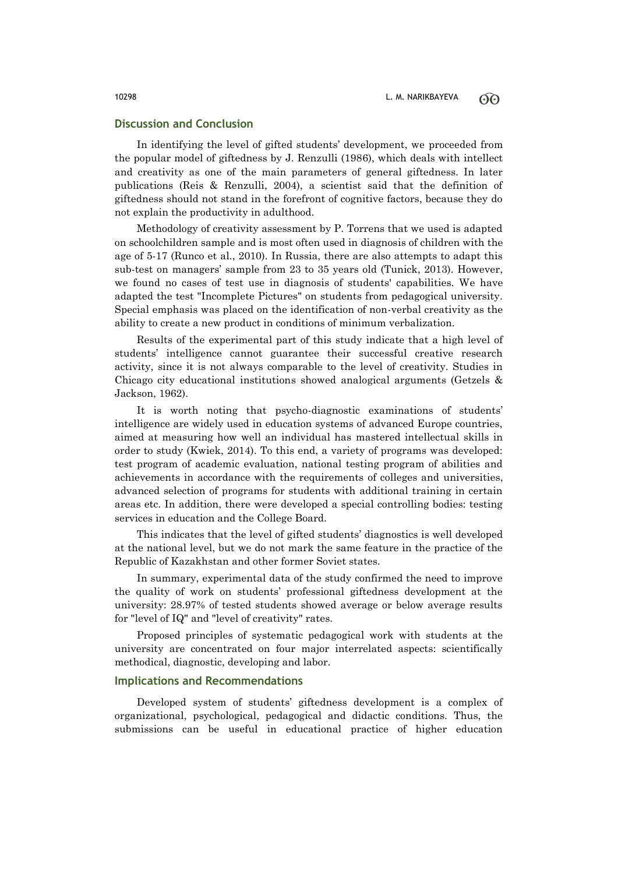# **Discussion and Conclusion**

In identifying the level of gifted students' development, we proceeded from the popular model of giftedness by J. Renzulli (1986), which deals with intellect and creativity as one of the main parameters of general giftedness. In later publications (Reis & Renzulli, 2004), a scientist said that the definition of giftedness should not stand in the forefront of cognitive factors, because they do not explain the productivity in adulthood.

Methodology of creativity assessment by P. Torrens that we used is adapted on schoolchildren sample and is most often used in diagnosis of children with the age of 5-17 (Runco et al., 2010). In Russia, there are also attempts to adapt this sub-test on managers' sample from 23 to 35 years old (Tunick, 2013). However, we found no cases of test use in diagnosis of students' capabilities. We have adapted the test "Incomplete Pictures" on students from pedagogical university. Special emphasis was placed on the identification of non-verbal creativity as the ability to create a new product in conditions of minimum verbalization.

Results of the experimental part of this study indicate that a high level of students' intelligence cannot guarantee their successful creative research activity, since it is not always comparable to the level of creativity. Studies in Chicago city educational institutions showed analogical arguments (Getzels & Jackson, 1962).

It is worth noting that psycho-diagnostic examinations of students' intelligence are widely used in education systems of advanced Europe countries, aimed at measuring how well an individual has mastered intellectual skills in order to study (Kwiek, 2014). To this end, a variety of programs was developed: test program of academic evaluation, national testing program of abilities and achievements in accordance with the requirements of colleges and universities, advanced selection of programs for students with additional training in certain areas etc. In addition, there were developed a special controlling bodies: testing services in education and the College Board.

This indicates that the level of gifted students' diagnostics is well developed at the national level, but we do not mark the same feature in the practice of the Republic of Kazakhstan and other former Soviet states.

In summary, experimental data of the study confirmed the need to improve the quality of work on students' professional giftedness development at the university: 28.97% of tested students showed average or below average results for "level of IQ" and "level of creativity" rates.

Proposed principles of systematic pedagogical work with students at the university are concentrated on four major interrelated aspects: scientifically methodical, diagnostic, developing and labor.

# **Implications and Recommendations**

Developed system of students' giftedness development is a complex of organizational, psychological, pedagogical and didactic conditions. Thus, the submissions can be useful in educational practice of higher education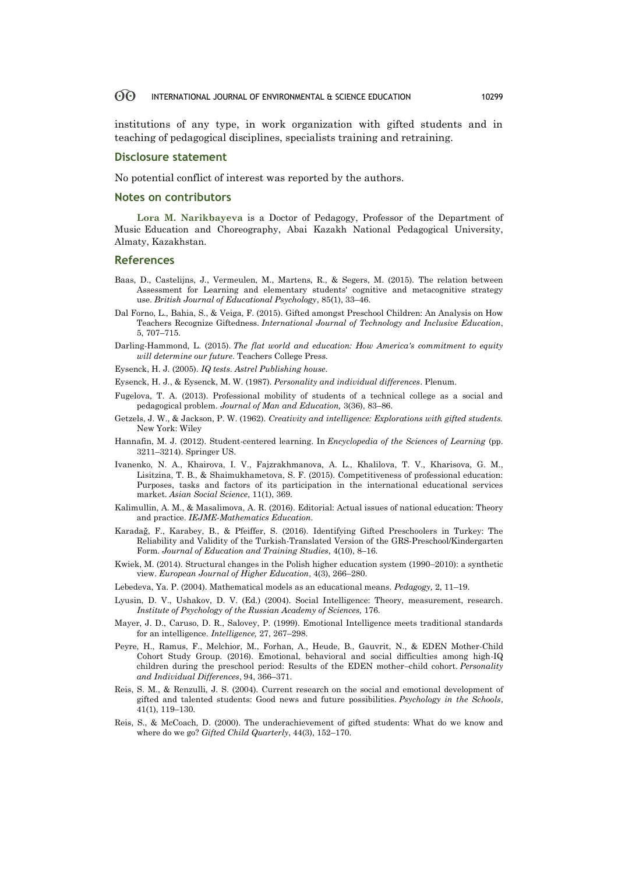### 60 INTERNATIONAL JOURNAL OF ENVIRONMENTAL & SCIENCE EDUCATION 10299

institutions of any type, in work organization with gifted students and in teaching of pedagogical disciplines, specialists training and retraining.

### **Disclosure statement**

No potential conflict of interest was reported by the authors.

### **Notes on contributors**

**Lora M. Narikbayeva** is a Doctor of Pedagogy, Professor of the Department of Music Education and Choreography, Abai Kazakh National Pedagogical University, Almaty, Kazakhstan.

### **References**

- Baas, D., Castelijns, J., Vermeulen, M., Martens, R., & Segers, M. (2015). The relation between Assessment for Learning and elementary students' cognitive and metacognitive strategy use. *British Journal of Educational Psychology*, 85(1), 33–46.
- Dal Forno, L., Bahia, S., & Veiga, F. (2015). Gifted amongst Preschool Children: An Analysis on How Teachers Recognize Giftedness. *International Journal of Technology and Inclusive Education*, 5, 707–715.
- Darling-Hammond, L. (2015). *The flat world and education: How America's commitment to equity will determine our future*. Teachers College Press.
- Eysenck, H. J. (2005). *IQ tests*. *Astrel Publishing house*.
- Eysenck, H. J., & Eysenck, M. W. (1987). *Personality and individual differences*. Plenum.
- Fugelova, T. A. (2013). Professional mobility of students of a technical college as a social and pedagogical problem. *Journal of Man and Education,* 3(36), 83–86.
- Getzels, J. W., & Jackson, P. W. (1962). *Creativity and intelligence: Explorations with gifted students.* New York: Wiley
- Hannafin, M. J. (2012). Student-centered learning. In *Encyclopedia of the Sciences of Learning* (pp. 3211–3214). Springer US.
- Ivanenko, N. A., Khairova, I. V., Fajzrakhmanova, A. L., Khalilova, T. V., Kharisova, G. M., Lisitzina, T. B., & Shaimukhametova, S. F. (2015). Competitiveness of professional education: Purposes, tasks and factors of its participation in the international educational services market. *Asian Social Science*, 11(1), 369.
- Kalimullin, A. M., & Masalimova, A. R. (2016). Editorial: Actual issues of national education: Theory and practice. *IEJME-Mathematics Education*.
- Karadağ, F., Karabey, B., & Pfeiffer, S. (2016). Identifying Gifted Preschoolers in Turkey: The Reliability and Validity of the Turkish-Translated Version of the GRS-Preschool/Kindergarten Form. *Journal of Education and Training Studies*, 4(10), 8–16.
- Kwiek, M. (2014). Structural changes in the Polish higher education system (1990–2010): a synthetic view. *European Journal of Higher Education*, 4(3), 266–280.
- Lebedeva, Ya. P. (2004). Mathematical models as an educational means. *Pedagogy,* 2, 11–19.
- Lyusin, D. V., Ushakov, D. V. (Ed.) (2004). Social Intelligence: Theory, measurement, research*. Institute of Psychology of the Russian Academy of Sciences,* 176.
- Mayer, J. D., Caruso, D. R., Salovey, P. (1999). Emotional Intelligence meets traditional standards for an intelligence. *Intelligence,* 27, 267–298.
- Peyre, H., Ramus, F., Melchior, M., Forhan, A., Heude, B., Gauvrit, N., & EDEN Mother-Child Cohort Study Group. (2016). Emotional, behavioral and social difficulties among high-IQ children during the preschool period: Results of the EDEN mother–child cohort. *Personality and Individual Differences*, 94, 366–371.
- Reis, S. M., & Renzulli, J. S. (2004). Current research on the social and emotional development of gifted and talented students: Good news and future possibilities. *Psychology in the Schools*, 41(1), 119–130.
- Reis, S., & McCoach, D. (2000). The underachievement of gifted students: What do we know and where do we go? *Gifted Child Quarterly*, 44(3), 152–170.